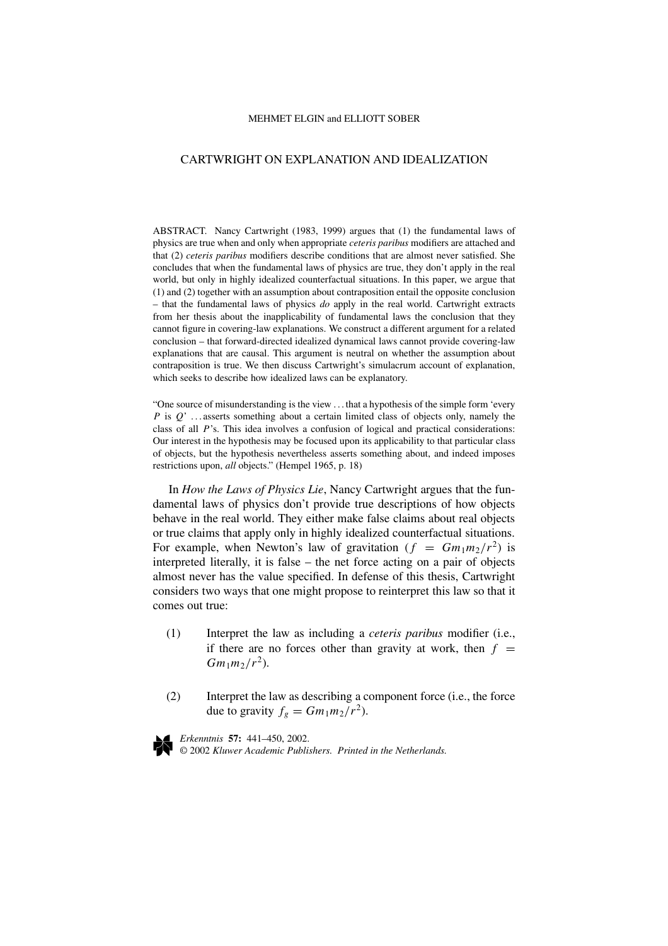## MEHMET ELGIN and ELLIOTT SOBER

# CARTWRIGHT ON EXPLANATION AND IDEALIZATION

ABSTRACT. Nancy Cartwright (1983, 1999) argues that (1) the fundamental laws of physics are true when and only when appropriate *ceteris paribus* modifiers are attached and that (2) *ceteris paribus* modifiers describe conditions that are almost never satisfied. She concludes that when the fundamental laws of physics are true, they don't apply in the real world, but only in highly idealized counterfactual situations. In this paper, we argue that (1) and (2) together with an assumption about contraposition entail the opposite conclusion – that the fundamental laws of physics *do* apply in the real world. Cartwright extracts from her thesis about the inapplicability of fundamental laws the conclusion that they cannot figure in covering-law explanations. We construct a different argument for a related conclusion – that forward-directed idealized dynamical laws cannot provide covering-law explanations that are causal. This argument is neutral on whether the assumption about contraposition is true. We then discuss Cartwright's simulacrum account of explanation, which seeks to describe how idealized laws can be explanatory.

"One source of misunderstanding is the view . . . that a hypothesis of the simple form 'every *P* is *Q*' ... asserts something about a certain limited class of objects only, namely the class of all *P*'s. This idea involves a confusion of logical and practical considerations: Our interest in the hypothesis may be focused upon its applicability to that particular class of objects, but the hypothesis nevertheless asserts something about, and indeed imposes restrictions upon, *all* objects." (Hempel 1965, p. 18)

In *How the Laws of Physics Lie*, Nancy Cartwright argues that the fundamental laws of physics don't provide true descriptions of how objects behave in the real world. They either make false claims about real objects or true claims that apply only in highly idealized counterfactual situations. For example, when Newton's law of gravitation  $(f = Gm_1m_2/r^2)$  is interpreted literally, it is false – the net force acting on a pair of objects almost never has the value specified. In defense of this thesis, Cartwright considers two ways that one might propose to reinterpret this law so that it comes out true:

- (1) Interpret the law as including a *ceteris paribus* modifier (i.e., if there are no forces other than gravity at work, then  $f =$ *Gm*<sub>1</sub>*m*<sub>2</sub>/ $r^2$ ).
- (2) Interpret the law as describing a component force (i.e., the force due to gravity  $f_g = Gm_1m_2/r^2$ .

*Erkenntnis* **57:** 441–450, 2002.

© 2002 *Kluwer Academic Publishers. Printed in the Netherlands.*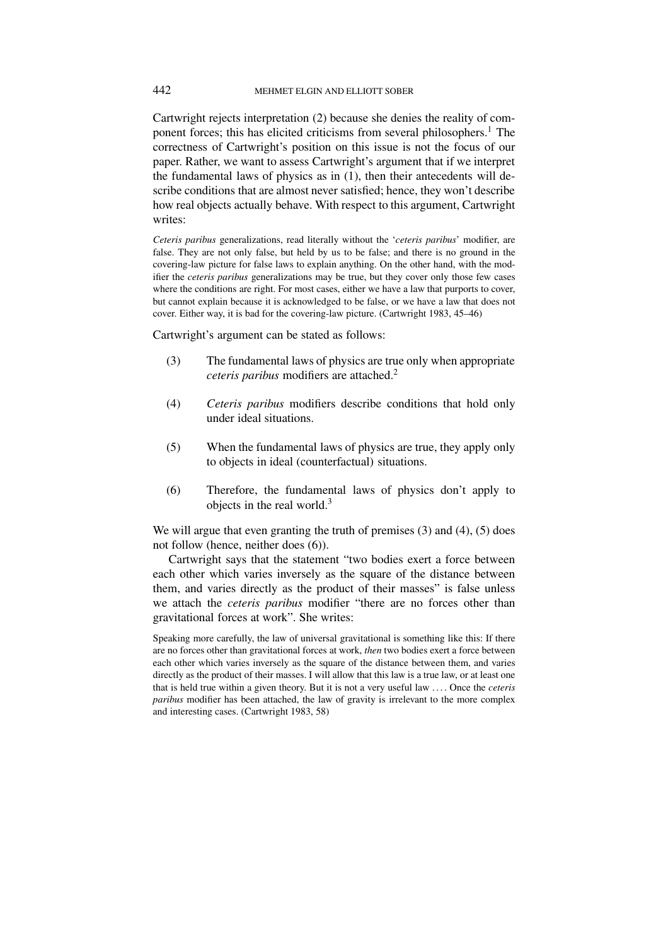Cartwright rejects interpretation (2) because she denies the reality of component forces; this has elicited criticisms from several philosophers.<sup>1</sup> The correctness of Cartwright's position on this issue is not the focus of our paper. Rather, we want to assess Cartwright's argument that if we interpret the fundamental laws of physics as in (1), then their antecedents will describe conditions that are almost never satisfied; hence, they won't describe how real objects actually behave. With respect to this argument, Cartwright writes:

*Ceteris paribus* generalizations, read literally without the '*ceteris paribus*' modifier, are false. They are not only false, but held by us to be false; and there is no ground in the covering-law picture for false laws to explain anything. On the other hand, with the modifier the *ceteris paribus* generalizations may be true, but they cover only those few cases where the conditions are right. For most cases, either we have a law that purports to cover, but cannot explain because it is acknowledged to be false, or we have a law that does not cover. Either way, it is bad for the covering-law picture. (Cartwright 1983, 45–46)

Cartwright's argument can be stated as follows:

- (3) The fundamental laws of physics are true only when appropriate *ceteris paribus* modifiers are attached.<sup>2</sup>
- (4) *Ceteris paribus* modifiers describe conditions that hold only under ideal situations.
- (5) When the fundamental laws of physics are true, they apply only to objects in ideal (counterfactual) situations.
- (6) Therefore, the fundamental laws of physics don't apply to objects in the real world.<sup>3</sup>

We will argue that even granting the truth of premises (3) and (4), (5) does not follow (hence, neither does (6)).

Cartwright says that the statement "two bodies exert a force between each other which varies inversely as the square of the distance between them, and varies directly as the product of their masses" is false unless we attach the *ceteris paribus* modifier "there are no forces other than gravitational forces at work". She writes:

Speaking more carefully, the law of universal gravitational is something like this: If there are no forces other than gravitational forces at work, *then* two bodies exert a force between each other which varies inversely as the square of the distance between them, and varies directly as the product of their masses. I will allow that this law is a true law, or at least one that is held true within a given theory. But it is not a very useful law . . . . Once the *ceteris paribus* modifier has been attached, the law of gravity is irrelevant to the more complex and interesting cases. (Cartwright 1983, 58)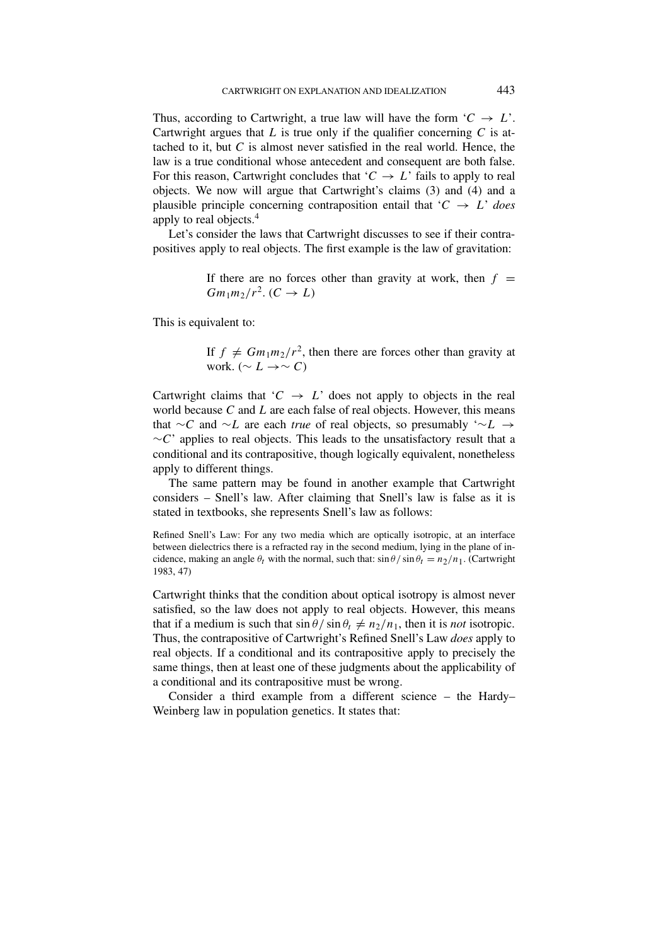Thus, according to Cartwright, a true law will have the form  ${}^{\circ}C \rightarrow L$ . Cartwright argues that *L* is true only if the qualifier concerning *C* is attached to it, but *C* is almost never satisfied in the real world. Hence, the law is a true conditional whose antecedent and consequent are both false. For this reason, Cartwright concludes that ' $C \rightarrow L$ ' fails to apply to real objects. We now will argue that Cartwright's claims (3) and (4) and a plausible principle concerning contraposition entail that  ${}^{\circ}C \rightarrow L^{\circ}$  *does* apply to real objects.<sup>4</sup>

Let's consider the laws that Cartwright discusses to see if their contrapositives apply to real objects. The first example is the law of gravitation:

> If there are no forces other than gravity at work, then  $f =$  $Gm_1m_2/r^2$ .  $(C \rightarrow L)$

This is equivalent to:

If  $f \neq Gm_1m_2/r^2$ , then there are forces other than gravity at work.  $(∼ L → ∞ C)$ 

Cartwright claims that ' $C \rightarrow L$ ' does not apply to objects in the real world because *C* and *L* are each false of real objects. However, this means that ∼*C* and ∼*L* are each *true* of real objects, so presumably '∼*L* → ∼*C*' applies to real objects. This leads to the unsatisfactory result that a conditional and its contrapositive, though logically equivalent, nonetheless apply to different things.

The same pattern may be found in another example that Cartwright considers – Snell's law. After claiming that Snell's law is false as it is stated in textbooks, she represents Snell's law as follows:

Refined Snell's Law: For any two media which are optically isotropic, at an interface between dielectrics there is a refracted ray in the second medium, lying in the plane of incidence, making an angle  $\theta_t$  with the normal, such that:  $\sin \theta / \sin \theta_t = n_2/n_1$ . (Cartwright 1983, 47)

Cartwright thinks that the condition about optical isotropy is almost never satisfied, so the law does not apply to real objects. However, this means that if a medium is such that  $\sin \theta / \sin \theta_t \neq n_2/n_1$ , then it is *not* isotropic. Thus, the contrapositive of Cartwright's Refined Snell's Law *does* apply to real objects. If a conditional and its contrapositive apply to precisely the same things, then at least one of these judgments about the applicability of a conditional and its contrapositive must be wrong.

Consider a third example from a different science – the Hardy– Weinberg law in population genetics. It states that: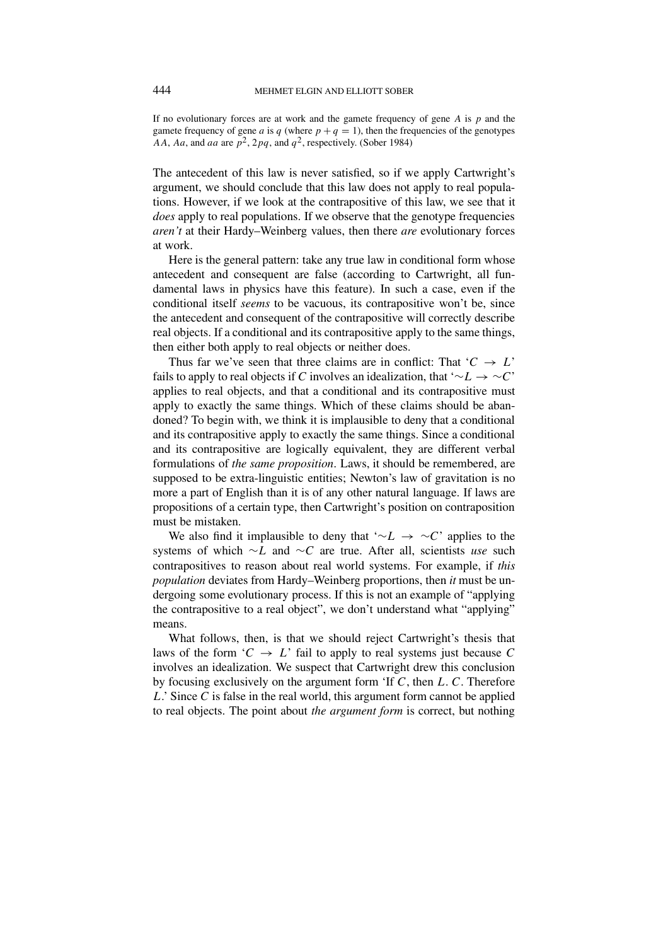If no evolutionary forces are at work and the gamete frequency of gene *A* is *p* and the gamete frequency of gene *a* is *q* (where  $p + q = 1$ ), then the frequencies of the genotypes AA, Aa, and *aa* are  $p^2$ , 2*pq*, and  $q^2$ , respectively. (Sober 1984)

The antecedent of this law is never satisfied, so if we apply Cartwright's argument, we should conclude that this law does not apply to real populations. However, if we look at the contrapositive of this law, we see that it *does* apply to real populations. If we observe that the genotype frequencies *aren't* at their Hardy–Weinberg values, then there *are* evolutionary forces at work.

Here is the general pattern: take any true law in conditional form whose antecedent and consequent are false (according to Cartwright, all fundamental laws in physics have this feature). In such a case, even if the conditional itself *seems* to be vacuous, its contrapositive won't be, since the antecedent and consequent of the contrapositive will correctly describe real objects. If a conditional and its contrapositive apply to the same things, then either both apply to real objects or neither does.

Thus far we've seen that three claims are in conflict: That ' $C \rightarrow L$ ' fails to apply to real objects if *C* involves an idealization, that ' $\sim L \rightarrow \sim C$ ' applies to real objects, and that a conditional and its contrapositive must apply to exactly the same things. Which of these claims should be abandoned? To begin with, we think it is implausible to deny that a conditional and its contrapositive apply to exactly the same things. Since a conditional and its contrapositive are logically equivalent, they are different verbal formulations of *the same proposition*. Laws, it should be remembered, are supposed to be extra-linguistic entities; Newton's law of gravitation is no more a part of English than it is of any other natural language. If laws are propositions of a certain type, then Cartwright's position on contraposition must be mistaken.

We also find it implausible to deny that '∼*L* → ∼*C*' applies to the systems of which ∼*L* and ∼*C* are true. After all, scientists *use* such contrapositives to reason about real world systems. For example, if *this population* deviates from Hardy–Weinberg proportions, then *it* must be undergoing some evolutionary process. If this is not an example of "applying the contrapositive to a real object", we don't understand what "applying" means.

What follows, then, is that we should reject Cartwright's thesis that laws of the form ' $C \rightarrow L$ ' fail to apply to real systems just because C involves an idealization. We suspect that Cartwright drew this conclusion by focusing exclusively on the argument form 'If *C*, then *L*. *C*. Therefore *L*.' Since *C* is false in the real world, this argument form cannot be applied to real objects. The point about *the argument form* is correct, but nothing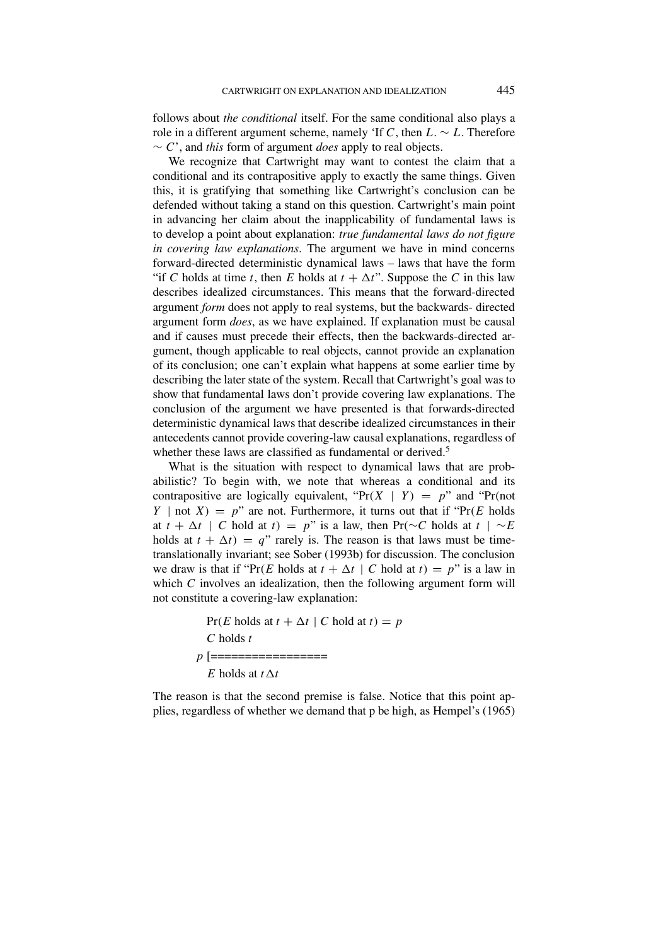follows about *the conditional* itself. For the same conditional also plays a role in a different argument scheme, namely 'If *C*, then  $L \sim L$ . Therefore ∼ *C*', and *this* form of argument *does* apply to real objects.

We recognize that Cartwright may want to contest the claim that a conditional and its contrapositive apply to exactly the same things. Given this, it is gratifying that something like Cartwright's conclusion can be defended without taking a stand on this question. Cartwright's main point in advancing her claim about the inapplicability of fundamental laws is to develop a point about explanation: *true fundamental laws do not figure in covering law explanations*. The argument we have in mind concerns forward-directed deterministic dynamical laws – laws that have the form "if *C* holds at time *t*, then *E* holds at  $t + \Delta t$ ". Suppose the *C* in this law describes idealized circumstances. This means that the forward-directed argument *form* does not apply to real systems, but the backwards- directed argument form *does*, as we have explained. If explanation must be causal and if causes must precede their effects, then the backwards-directed argument, though applicable to real objects, cannot provide an explanation of its conclusion; one can't explain what happens at some earlier time by describing the later state of the system. Recall that Cartwright's goal was to show that fundamental laws don't provide covering law explanations. The conclusion of the argument we have presented is that forwards-directed deterministic dynamical laws that describe idealized circumstances in their antecedents cannot provide covering-law causal explanations, regardless of whether these laws are classified as fundamental or derived.<sup>5</sup>

What is the situation with respect to dynamical laws that are probabilistic? To begin with, we note that whereas a conditional and its contrapositive are logically equivalent, " $Pr(X \mid Y) = p$ " and " $Pr($ not *Y* | not *X*) = *p*" are not. Furthermore, it turns out that if " $Pr(E \text{ holds})$ at  $t + \Delta t$  | *C* hold at  $t$ ) = *p*" is a law, then Pr(∼*C* holds at  $t \mid \neg E$ holds at  $t + \Delta t$ ) = *q*" rarely is. The reason is that laws must be timetranslationally invariant; see Sober (1993b) for discussion. The conclusion we draw is that if "Pr(E holds at  $t + \Delta t \mid C$  hold at  $t$ ) = p" is a law in which *C* involves an idealization, then the following argument form will not constitute a covering-law explanation:

> $Pr(E \text{ holds at } t + \Delta t \mid C \text{ hold at } t) = p$ *C* holds *t p* [================= *E* holds at  $t \Delta t$

The reason is that the second premise is false. Notice that this point applies, regardless of whether we demand that p be high, as Hempel's (1965)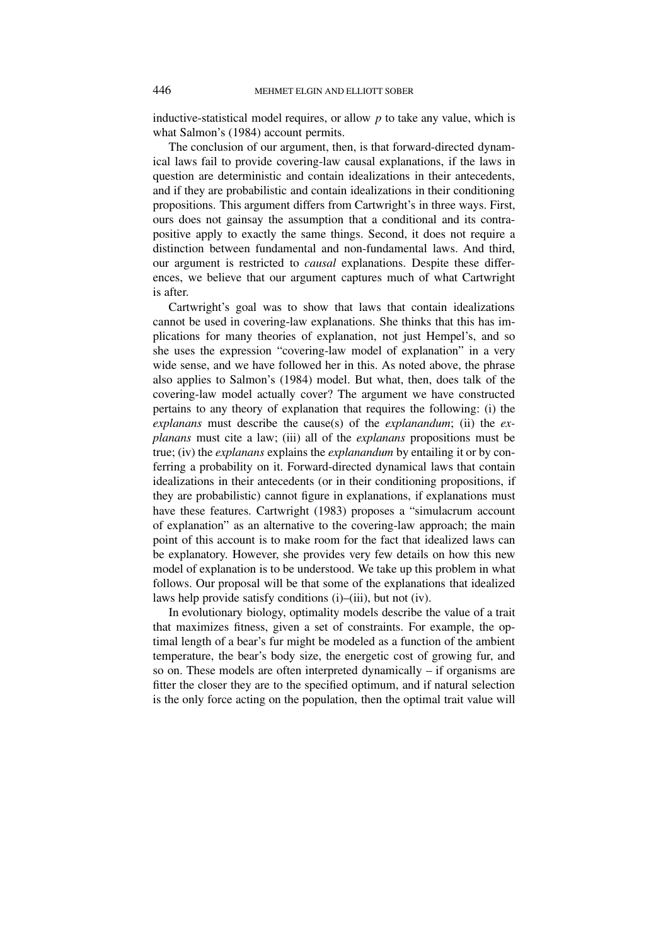inductive-statistical model requires, or allow *p* to take any value, which is what Salmon's (1984) account permits.

The conclusion of our argument, then, is that forward-directed dynamical laws fail to provide covering-law causal explanations, if the laws in question are deterministic and contain idealizations in their antecedents, and if they are probabilistic and contain idealizations in their conditioning propositions. This argument differs from Cartwright's in three ways. First, ours does not gainsay the assumption that a conditional and its contrapositive apply to exactly the same things. Second, it does not require a distinction between fundamental and non-fundamental laws. And third, our argument is restricted to *causal* explanations. Despite these differences, we believe that our argument captures much of what Cartwright is after.

Cartwright's goal was to show that laws that contain idealizations cannot be used in covering-law explanations. She thinks that this has implications for many theories of explanation, not just Hempel's, and so she uses the expression "covering-law model of explanation" in a very wide sense, and we have followed her in this. As noted above, the phrase also applies to Salmon's (1984) model. But what, then, does talk of the covering-law model actually cover? The argument we have constructed pertains to any theory of explanation that requires the following: (i) the *explanans* must describe the cause(s) of the *explanandum*; (ii) the *explanans* must cite a law; (iii) all of the *explanans* propositions must be true; (iv) the *explanans* explains the *explanandum* by entailing it or by conferring a probability on it. Forward-directed dynamical laws that contain idealizations in their antecedents (or in their conditioning propositions, if they are probabilistic) cannot figure in explanations, if explanations must have these features. Cartwright (1983) proposes a "simulacrum account of explanation" as an alternative to the covering-law approach; the main point of this account is to make room for the fact that idealized laws can be explanatory. However, she provides very few details on how this new model of explanation is to be understood. We take up this problem in what follows. Our proposal will be that some of the explanations that idealized laws help provide satisfy conditions (i)–(iii), but not (iv).

In evolutionary biology, optimality models describe the value of a trait that maximizes fitness, given a set of constraints. For example, the optimal length of a bear's fur might be modeled as a function of the ambient temperature, the bear's body size, the energetic cost of growing fur, and so on. These models are often interpreted dynamically – if organisms are fitter the closer they are to the specified optimum, and if natural selection is the only force acting on the population, then the optimal trait value will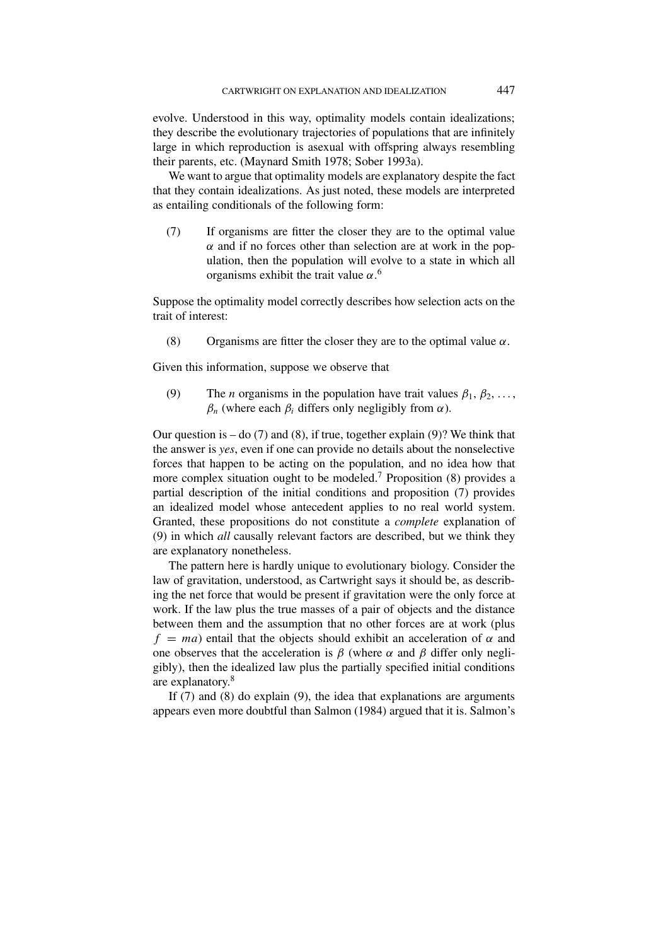evolve. Understood in this way, optimality models contain idealizations; they describe the evolutionary trajectories of populations that are infinitely large in which reproduction is asexual with offspring always resembling their parents, etc. (Maynard Smith 1978; Sober 1993a).

We want to argue that optimality models are explanatory despite the fact that they contain idealizations. As just noted, these models are interpreted as entailing conditionals of the following form:

(7) If organisms are fitter the closer they are to the optimal value *α* and if no forces other than selection are at work in the population, then the population will evolve to a state in which all organisms exhibit the trait value *α*. 6

Suppose the optimality model correctly describes how selection acts on the trait of interest:

(8) Organisms are fitter the closer they are to the optimal value  $\alpha$ .

Given this information, suppose we observe that

(9) The *n* organisms in the population have trait values  $\beta_1, \beta_2, \ldots$ , *βn* (where each *βi* differs only negligibly from *α*).

Our question is  $-$  do (7) and (8), if true, together explain (9)? We think that the answer is *yes*, even if one can provide no details about the nonselective forces that happen to be acting on the population, and no idea how that more complex situation ought to be modeled.<sup>7</sup> Proposition (8) provides a partial description of the initial conditions and proposition (7) provides an idealized model whose antecedent applies to no real world system. Granted, these propositions do not constitute a *complete* explanation of (9) in which *all* causally relevant factors are described, but we think they are explanatory nonetheless.

The pattern here is hardly unique to evolutionary biology. Consider the law of gravitation, understood, as Cartwright says it should be, as describing the net force that would be present if gravitation were the only force at work. If the law plus the true masses of a pair of objects and the distance between them and the assumption that no other forces are at work (plus *f* = *ma*) entail that the objects should exhibit an acceleration of  $\alpha$  and one observes that the acceleration is  $\beta$  (where  $\alpha$  and  $\beta$  differ only negligibly), then the idealized law plus the partially specified initial conditions are explanatory.<sup>8</sup>

If (7) and (8) do explain (9), the idea that explanations are arguments appears even more doubtful than Salmon (1984) argued that it is. Salmon's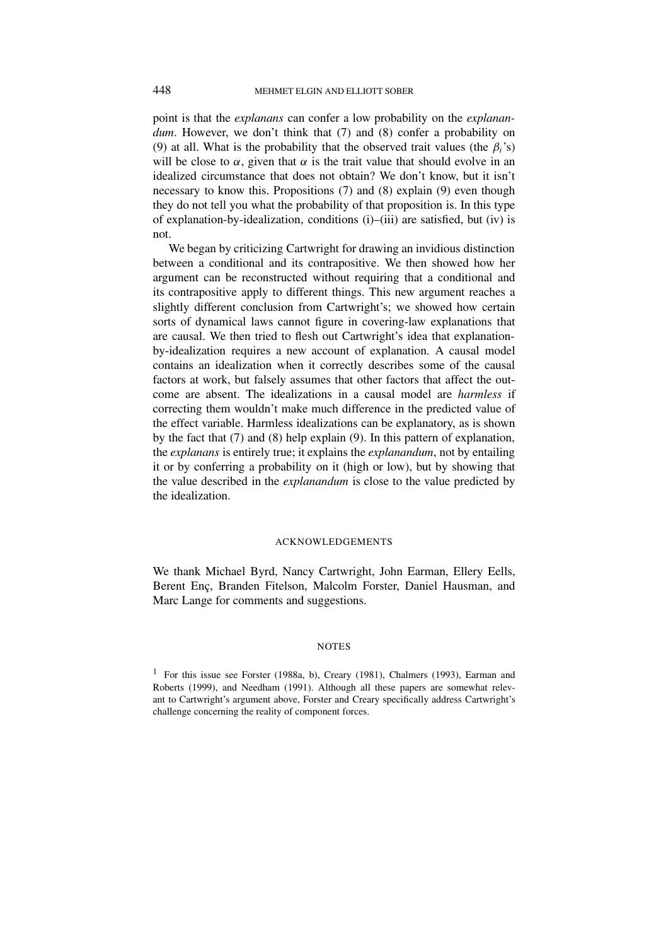point is that the *explanans* can confer a low probability on the *explanandum*. However, we don't think that (7) and (8) confer a probability on (9) at all. What is the probability that the observed trait values (the  $\beta$ <sup>'</sup>s) will be close to  $\alpha$ , given that  $\alpha$  is the trait value that should evolve in an idealized circumstance that does not obtain? We don't know, but it isn't necessary to know this. Propositions (7) and (8) explain (9) even though they do not tell you what the probability of that proposition is. In this type of explanation-by-idealization, conditions (i)–(iii) are satisfied, but (iv) is not.

We began by criticizing Cartwright for drawing an invidious distinction between a conditional and its contrapositive. We then showed how her argument can be reconstructed without requiring that a conditional and its contrapositive apply to different things. This new argument reaches a slightly different conclusion from Cartwright's; we showed how certain sorts of dynamical laws cannot figure in covering-law explanations that are causal. We then tried to flesh out Cartwright's idea that explanationby-idealization requires a new account of explanation. A causal model contains an idealization when it correctly describes some of the causal factors at work, but falsely assumes that other factors that affect the outcome are absent. The idealizations in a causal model are *harmless* if correcting them wouldn't make much difference in the predicted value of the effect variable. Harmless idealizations can be explanatory, as is shown by the fact that (7) and (8) help explain (9). In this pattern of explanation, the *explanans* is entirely true; it explains the *explanandum*, not by entailing it or by conferring a probability on it (high or low), but by showing that the value described in the *explanandum* is close to the value predicted by the idealization.

### ACKNOWLEDGEMENTS

We thank Michael Byrd, Nancy Cartwright, John Earman, Ellery Eells, Berent Enç, Branden Fitelson, Malcolm Forster, Daniel Hausman, and Marc Lange for comments and suggestions.

## **NOTES**

<sup>1</sup> For this issue see Forster (1988a, b), Creary (1981), Chalmers (1993), Earman and Roberts (1999), and Needham (1991). Although all these papers are somewhat relevant to Cartwright's argument above, Forster and Creary specifically address Cartwright's challenge concerning the reality of component forces.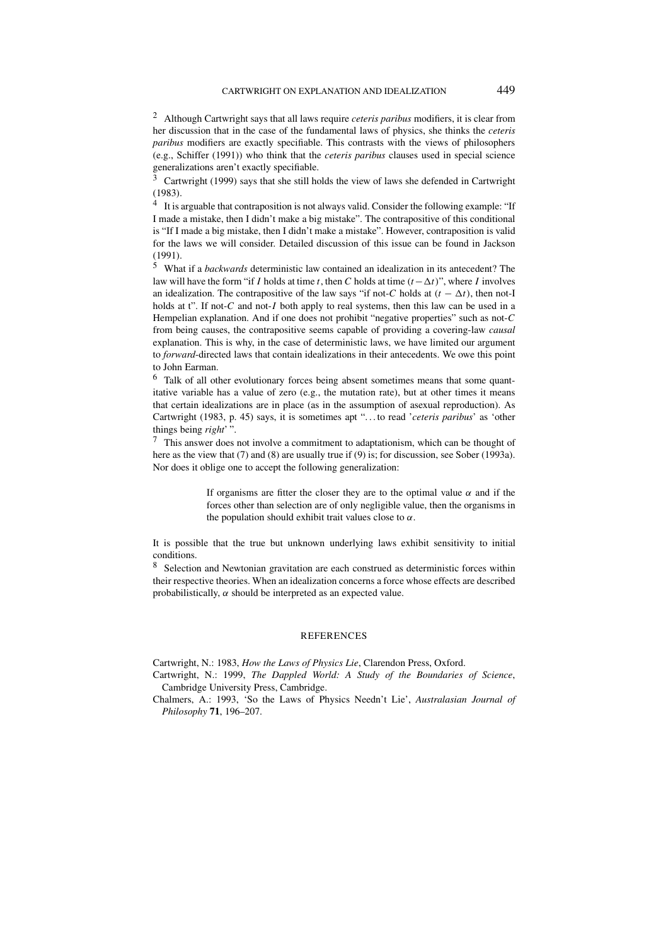<sup>2</sup> Although Cartwright says that all laws require *ceteris paribus* modifiers, it is clear from her discussion that in the case of the fundamental laws of physics, she thinks the *ceteris paribus* modifiers are exactly specifiable. This contrasts with the views of philosophers (e.g., Schiffer (1991)) who think that the *ceteris paribus* clauses used in special science generalizations aren't exactly specifiable.

<sup>3</sup> Cartwright (1999) says that she still holds the view of laws she defended in Cartwright (1983).

<sup>4</sup> It is arguable that contraposition is not always valid. Consider the following example: "If I made a mistake, then I didn't make a big mistake". The contrapositive of this conditional is "If I made a big mistake, then I didn't make a mistake". However, contraposition is valid for the laws we will consider. Detailed discussion of this issue can be found in Jackson  $(1991)$ 

<sup>5</sup> What if a *backwards* deterministic law contained an idealization in its antecedent? The law will have the form "if *I* holds at time *t*, then *C* holds at time  $(t - \Delta t)$ ", where *I* involves an idealization. The contrapositive of the law says "if not-*C* holds at  $(t - \Delta t)$ , then not-I holds at t". If not-*C* and not-*I* both apply to real systems, then this law can be used in a Hempelian explanation. And if one does not prohibit "negative properties" such as not-*C* from being causes, the contrapositive seems capable of providing a covering-law *causal* explanation. This is why, in the case of deterministic laws, we have limited our argument to *forward*-directed laws that contain idealizations in their antecedents. We owe this point to John Earman.

<sup>6</sup> Talk of all other evolutionary forces being absent sometimes means that some quantitative variable has a value of zero (e.g., the mutation rate), but at other times it means that certain idealizations are in place (as in the assumption of asexual reproduction). As Cartwright (1983, p. 45) says, it is sometimes apt ". . . to read '*ceteris paribus*' as 'other things being *right*' ".

 $<sup>7</sup>$  This answer does not involve a commitment to adaptationism, which can be thought of</sup> here as the view that (7) and (8) are usually true if (9) is; for discussion, see Sober (1993a). Nor does it oblige one to accept the following generalization:

> If organisms are fitter the closer they are to the optimal value  $\alpha$  and if the forces other than selection are of only negligible value, then the organisms in the population should exhibit trait values close to *α*.

It is possible that the true but unknown underlying laws exhibit sensitivity to initial conditions.

<sup>8</sup> Selection and Newtonian gravitation are each construed as deterministic forces within their respective theories. When an idealization concerns a force whose effects are described probabilistically,  $\alpha$  should be interpreted as an expected value.

#### **REFERENCES**

Cartwright, N.: 1983, *How the Laws of Physics Lie*, Clarendon Press, Oxford.

Cartwright, N.: 1999, *The Dappled World: A Study of the Boundaries of Science*, Cambridge University Press, Cambridge.

Chalmers, A.: 1993, 'So the Laws of Physics Needn't Lie', *Australasian Journal of Philosophy* **71**, 196–207.